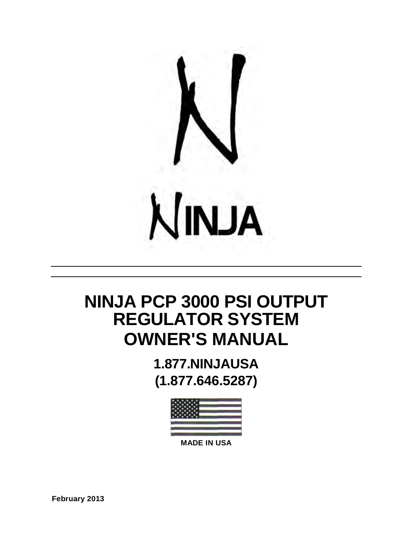

# **NINJA PCP 3000 PSI OUTPUT REGULATOR SYSTEM OWNER'S MANUAL**

**1.877.NINJAUSA (1.877.646.5287)**



**MADE IN USA**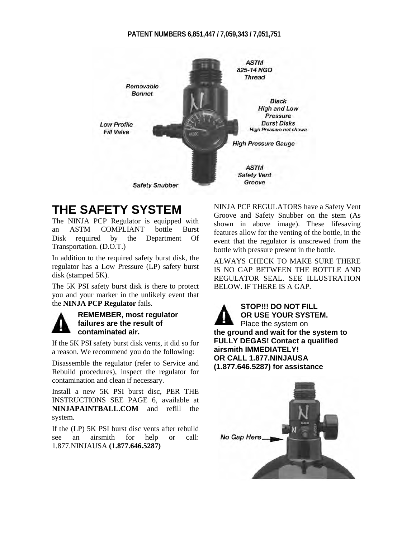#### **PATENT NUMBERS 6,851,447 / 7,059,343 / 7,051,751**



### **THE SAFETY SYSTEM**

The NINJA PCP Regulator is equipped with an ASTM COMPLIANT bottle Burst Disk required by the Department Of Transportation. (D.O.T.)

In addition to the required safety burst disk, the regulator has a Low Pressure (LP) safety burst disk (stamped 5K).

The 5K PSI safety burst disk is there to protect you and your marker in the unlikely event that the **NINJA PCP Regulator** fails.



#### **REMEMBER, most regulator failures are the result of contaminated air.**

If the 5K PSI safety burst disk vents, it did so for a reason. We recommend you do the following:

Disassemble the regulator (refer to Service and Rebuild procedures), inspect the regulator for contamination and clean if necessary.

Install a new 5K PSI burst disc, PER THE INSTRUCTIONS SEE PAGE 6, available at **NINJAPAINTBALL.COM** and refill the system.

If the (LP) 5K PSI burst disc vents after rebuild see an airsmith for help or call: 1.877.NINJAUSA **(1.877.646.5287)**

NINJA PCP REGULATORS have a Safety Vent Groove and Safety Snubber on the stem (As shown in above image). These lifesaving features allow for the venting of the bottle, in the event that the regulator is unscrewed from the bottle with pressure present in the bottle.

ALWAYS CHECK TO MAKE SURE THERE IS NO GAP BETWEEN THE BOTTLE AND REGULATOR SEAL. SEE ILLUSTRATION BELOW. IF THERE IS A GAP.



**OR USE YOUR SYSTEM.** Place the system on **the ground and wait for the system to FULLY DEGAS! Contact a qualified airsmith IMMEDIATELY! OR CALL 1.877.NINJAUSA**

**(1.877.646.5287) for assistance**

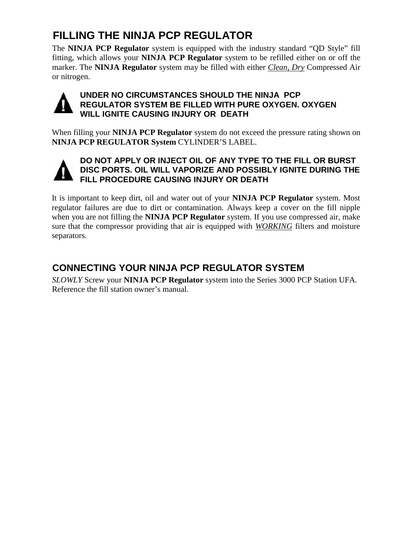## **FILLING THE NINJA PCP REGULATOR**

The **NINJA PCP Regulator** system is equipped with the industry standard "QD Style" fill fitting, which allows your **NINJA PCP Regulator** system to be refilled either on or off the marker. The **NINJA Regulator** system may be filled with either *Clean, Dry* Compressed Air or nitrogen.



#### **UNDER NO CIRCUMSTANCES SHOULD THE NINJA PCP REGULATOR SYSTEM BE FILLED WITH PURE OXYGEN. OXYGEN WILL IGNITE CAUSING INJURY OR DEATH**

When filling your **NINJA PCP Regulator** system do not exceed the pressure rating shown on **NINJA PCP REGULATOR System** CYLINDER'S LABEL.



#### **DO NOT APPLY OR INJECT OIL OF ANY TYPE TO THE FILL OR BURST DISC PORTS. OIL WILL VAPORIZE AND POSSIBLY IGNITE DURING THE FILL PROCEDURE CAUSING INJURY OR DEATH**

It is important to keep dirt, oil and water out of your **NINJA PCP Regulator** system. Most regulator failures are due to dirt or contamination. Always keep a cover on the fill nipple when you are not filling the **NINJA PCP Regulator** system. If you use compressed air, make sure that the compressor providing that air is equipped with *WORKING* filters and moisture separators.

### **CONNECTING YOUR NINJA PCP REGULATOR SYSTEM**

*SLOWLY* Screw your **NINJA PCP Regulator** system into the Series 3000 PCP Station UFA. Reference the fill station owner's manual.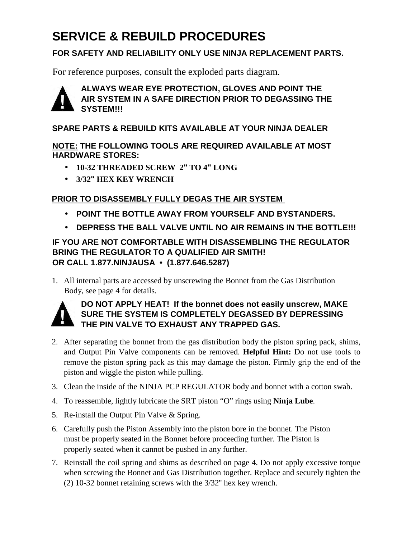## **SERVICE & REBUILD PROCEDURES**

#### **FOR SAFETY AND RELIABILITY ONLY USE NINJA REPLACEMENT PARTS.**

For reference purposes, consult the exploded parts diagram.



#### **ALWAYS WEAR EYE PROTECTION, GLOVES AND POINT THE AIR SYSTEM IN A SAFE DIRECTION PRIOR TO DEGASSING THE SYSTEM!!!**

#### **SPARE PARTS & REBUILD KITS AVAILABLE AT YOUR NINJA DEALER**

#### **NOTE: THE FOLLOWING TOOLS ARE REQUIRED AVAILABLE AT MOST HARDWARE STORES:**

- **10-32 THREADED SCREW 2" TO 4" LONG**
- **3/32" HEX KEY WRENCH**

#### **PRIOR TO DISASSEMBLY FULLY DEGAS THE AIR SYSTEM**

- **POINT THE BOTTLE AWAY FROM YOURSELF AND BYSTANDERS.**
- **DEPRESS THE BALL VALVE UNTIL NO AIR REMAINS IN THE BOTTLE!!!**

#### **IF YOU ARE NOT COMFORTABLE WITH DISASSEMBLING THE REGULATOR BRING THE REGULATOR TO A QUALIFIED AIR SMITH! OR CALL 1.877.NINJAUSA • (1.877.646.5287)**

1. All internal parts are accessed by unscrewing the Bonnet from the Gas Distribution Body, see page 4 for details.



#### **DO NOT APPLY HEAT! If the bonnet does not easily unscrew, MAKE SURE THE SYSTEM IS COMPLETELY DEGASSED BY DEPRESSING THE PIN VALVE TO EXHAUST ANY TRAPPED GAS.**

- 2. After separating the bonnet from the gas distribution body the piston spring pack, shims, and Output Pin Valve components can be removed. **Helpful Hint:** Do not use tools to remove the piston spring pack as this may damage the piston. Firmly grip the end of the piston and wiggle the piston while pulling.
- 3. Clean the inside of the NINJA PCP REGULATOR body and bonnet with a cotton swab.
- 4. To reassemble, lightly lubricate the SRT piston "O" rings using **Ninja Lube**.
- 5. Re-install the Output Pin Valve & Spring.
- 6. Carefully push the Piston Assembly into the piston bore in the bonnet. The Piston must be properly seated in the Bonnet before proceeding further. The Piston is properly seated when it cannot be pushed in any further.
- 7. Reinstall the coil spring and shims as described on page 4. Do not apply excessive torque when screwing the Bonnet and Gas Distribution together. Replace and securely tighten the (2) 10-32 bonnet retaining screws with the 3/32" hex key wrench.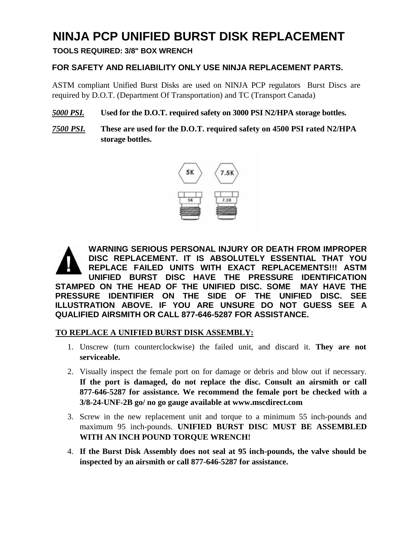### **NINJA PCP UNIFIED BURST DISK REPLACEMENT**

**TOOLS REQUIRED: 3/8" BOX WRENCH**

#### **FOR SAFETY AND RELIABILITY ONLY USE NINJA REPLACEMENT PARTS.**

ASTM compliant Unified Burst Disks are used on NINJA PCP regulators Burst Discs are required by D.O.T. (Department Of Transportation) and TC (Transport Canada)

#### *5000 PSI.* **Used for the D.O.T. required safety on 3000 PSI N2/HPA storage bottles.**

*7500 PSI.* **These are used for the D.O.T. required safety on 4500 PSI rated N2/HPA storage bottles.**



**WARNING SERIOUS PERSONAL INJURY OR DEATH FROM IMPROPER DISC REPLACEMENT. IT IS ABSOLUTELY ESSENTIAL THAT YOU REPLACE FAILED UNITS WITH EXACT REPLACEMENTS!!! ASTM UNIFIED BURST DISC HAVE THE PRESSURE IDENTIFICATION STAMPED ON THE HEAD OF THE UNIFIED DISC. SOME MAY HAVE THE PRESSURE IDENTIFIER ON THE SIDE OF THE UNIFIED DISC. SEE ILLUSTRATION ABOVE. IF YOU ARE UNSURE DO NOT GUESS SEE A QUALIFIED AIRSMITH OR CALL 877-646-5287 FOR ASSISTANCE.**

#### **TO REPLACE A UNIFIED BURST DISK ASSEMBLY:**

- 1. Unscrew (turn counterclockwise) the failed unit, and discard it. **They are not serviceable.**
- 2. Visually inspect the female port on for damage or debris and blow out if necessary. **If the port is damaged, do not replace the disc. Consult an airsmith or call 877-646-5287 for assistance. We recommend the female port be checked with a 3/8-24-UNF-2B go/ no go gauge available at www.mscdirect.com**
- 3. Screw in the new replacement unit and torque to a minimum 55 inch-pounds and maximum 95 inch-pounds. **UNIFIED BURST DISC MUST BE ASSEMBLED WITH AN INCH POUND TORQUE WRENCH!**
- 4. **If the Burst Disk Assembly does not seal at 95 inch-pounds, the valve should be inspected by an airsmith or call 877-646-5287 for assistance.**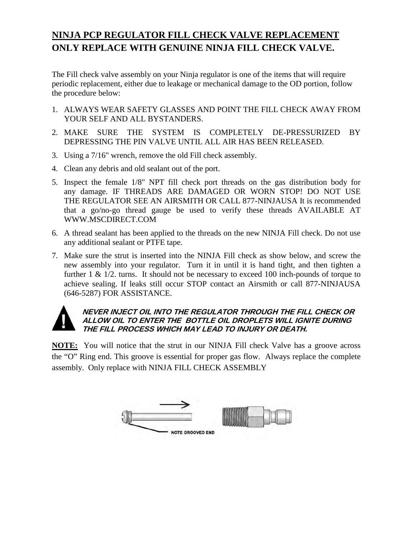### **NINJA PCP REGULATOR FILL CHECK VALVE REPLACEMENT ONLY REPLACE WITH GENUINE NINJA FILL CHECK VALVE.**

The Fill check valve assembly on your Ninja regulator is one of the items that will require periodic replacement, either due to leakage or mechanical damage to the OD portion, follow the procedure below:

- 1. ALWAYS WEAR SAFETY GLASSES AND POINT THE FILL CHECK AWAY FROM YOUR SELF AND ALL BYSTANDERS.
- 2. MAKE SURE THE SYSTEM IS COMPLETELY DE-PRESSURIZED BY DEPRESSING THE PIN VALVE UNTIL ALL AIR HAS BEEN RELEASED.
- 3. Using a 7/16" wrench, remove the old Fill check assembly.
- 4. Clean any debris and old sealant out of the port.
- 5. Inspect the female 1/8" NPT fill check port threads on the gas distribution body for any damage. IF THREADS ARE DAMAGED OR WORN STOP! DO NOT USE THE REGULATOR SEE AN AIRSMITH OR CALL 877-NINJAUSA It is recommended that a go/no-go thread gauge be used to verify these threads AVAILABLE AT WWW.MSCDIRECT.COM
- 6. A thread sealant has been applied to the threads on the new NINJA Fill check. Do not use any additional sealant or PTFE tape.
- 7. Make sure the strut is inserted into the NINJA Fill check as show below, and screw the new assembly into your regulator. Turn it in until it is hand tight, and then tighten a further  $1 \& 1/2$ , turns. It should not be necessary to exceed 100 inch-pounds of torque to achieve sealing. If leaks still occur STOP contact an Airsmith or call 877-NINJAUSA (646-5287) FOR ASSISTANCE.



#### **NEVER INJECT OIL INTO THE REGULATOR THROUGH THE FILL CHECK OR ALLOW OIL TO ENTER THE BOTTLE OIL DROPLETS WILL IGNITE DURING THE FILL PROCESS WHICH MAY LEAD TO INJURY OR DEATH.**

**NOTE:** You will notice that the strut in our NINJA Fill check Valve has a groove across the "O" Ring end. This groove is essential for proper gas flow. Always replace the complete assembly. Only replace with NINJA FILL CHECK ASSEMBLY